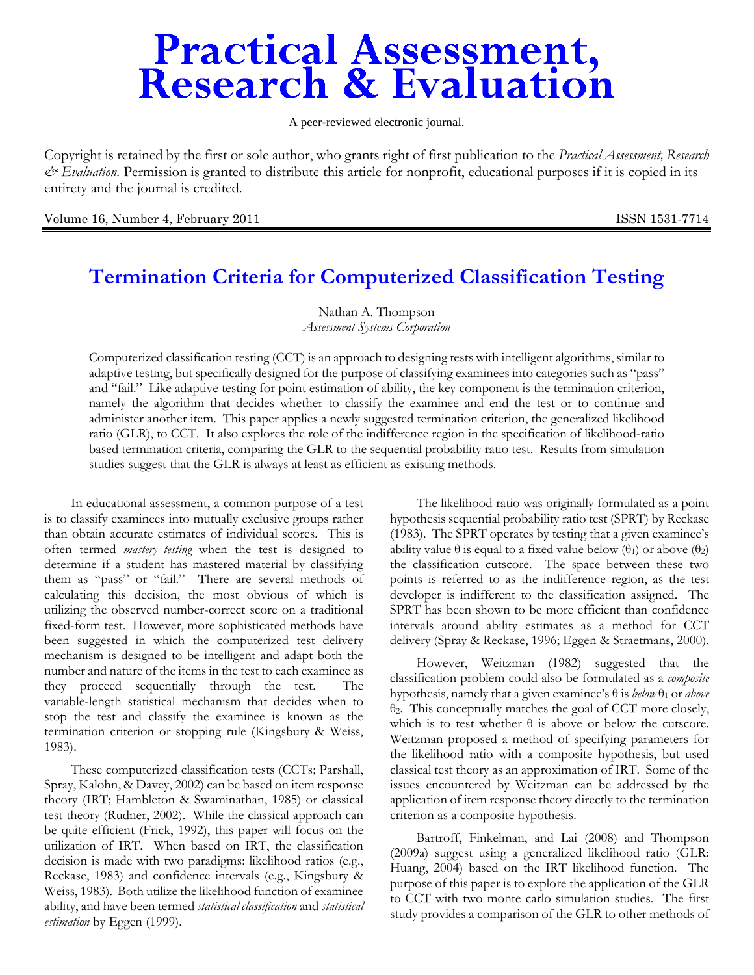# **Practical Assessment,<br>Research & Evaluation**

A peer-reviewed electronic journal.

Copyright is retained by the first or sole author, who grants right of first publication to the *Practical Assessment, Research & Evaluation.* Permission is granted to distribute this article for nonprofit, educational purposes if it is copied in its entirety and the journal is credited.

Volume 16, Number 4, February 2011 **ISSN 1531-7714** ISSN 1531-7714

# **Termination Criteria for Computerized Classification Testing**

Nathan A. Thompson *Assessment Systems Corporation* 

Computerized classification testing (CCT) is an approach to designing tests with intelligent algorithms, similar to adaptive testing, but specifically designed for the purpose of classifying examinees into categories such as "pass" and "fail." Like adaptive testing for point estimation of ability, the key component is the termination criterion, namely the algorithm that decides whether to classify the examinee and end the test or to continue and administer another item. This paper applies a newly suggested termination criterion, the generalized likelihood ratio (GLR), to CCT. It also explores the role of the indifference region in the specification of likelihood-ratio based termination criteria, comparing the GLR to the sequential probability ratio test. Results from simulation studies suggest that the GLR is always at least as efficient as existing methods.

In educational assessment, a common purpose of a test is to classify examinees into mutually exclusive groups rather than obtain accurate estimates of individual scores. This is often termed *mastery testing* when the test is designed to determine if a student has mastered material by classifying them as "pass" or "fail." There are several methods of calculating this decision, the most obvious of which is utilizing the observed number-correct score on a traditional fixed-form test. However, more sophisticated methods have been suggested in which the computerized test delivery mechanism is designed to be intelligent and adapt both the number and nature of the items in the test to each examinee as they proceed sequentially through the test. The variable-length statistical mechanism that decides when to stop the test and classify the examinee is known as the termination criterion or stopping rule (Kingsbury & Weiss, 1983).

These computerized classification tests (CCTs; Parshall, Spray, Kalohn, & Davey, 2002) can be based on item response theory (IRT; Hambleton & Swaminathan, 1985) or classical test theory (Rudner, 2002). While the classical approach can be quite efficient (Frick, 1992), this paper will focus on the utilization of IRT. When based on IRT, the classification decision is made with two paradigms: likelihood ratios (e.g., Reckase, 1983) and confidence intervals (e.g., Kingsbury & Weiss, 1983). Both utilize the likelihood function of examinee ability, and have been termed *statistical classification* and *statistical estimation* by Eggen (1999).

The likelihood ratio was originally formulated as a point hypothesis sequential probability ratio test (SPRT) by Reckase (1983). The SPRT operates by testing that a given examinee's ability value  $\theta$  is equal to a fixed value below ( $\theta_1$ ) or above ( $\theta_2$ ) the classification cutscore. The space between these two points is referred to as the indifference region, as the test developer is indifferent to the classification assigned. The SPRT has been shown to be more efficient than confidence intervals around ability estimates as a method for CCT delivery (Spray & Reckase, 1996; Eggen & Straetmans, 2000).

However, Weitzman (1982) suggested that the classification problem could also be formulated as a *composite* hypothesis, namely that a given examinee's  $\theta$  is *below*  $\theta_1$  or *above* θ2. This conceptually matches the goal of CCT more closely, which is to test whether  $\theta$  is above or below the cutscore. Weitzman proposed a method of specifying parameters for the likelihood ratio with a composite hypothesis, but used classical test theory as an approximation of IRT. Some of the issues encountered by Weitzman can be addressed by the application of item response theory directly to the termination criterion as a composite hypothesis.

Bartroff, Finkelman, and Lai (2008) and Thompson (2009a) suggest using a generalized likelihood ratio (GLR: Huang, 2004) based on the IRT likelihood function. The purpose of this paper is to explore the application of the GLR to CCT with two monte carlo simulation studies. The first study provides a comparison of the GLR to other methods of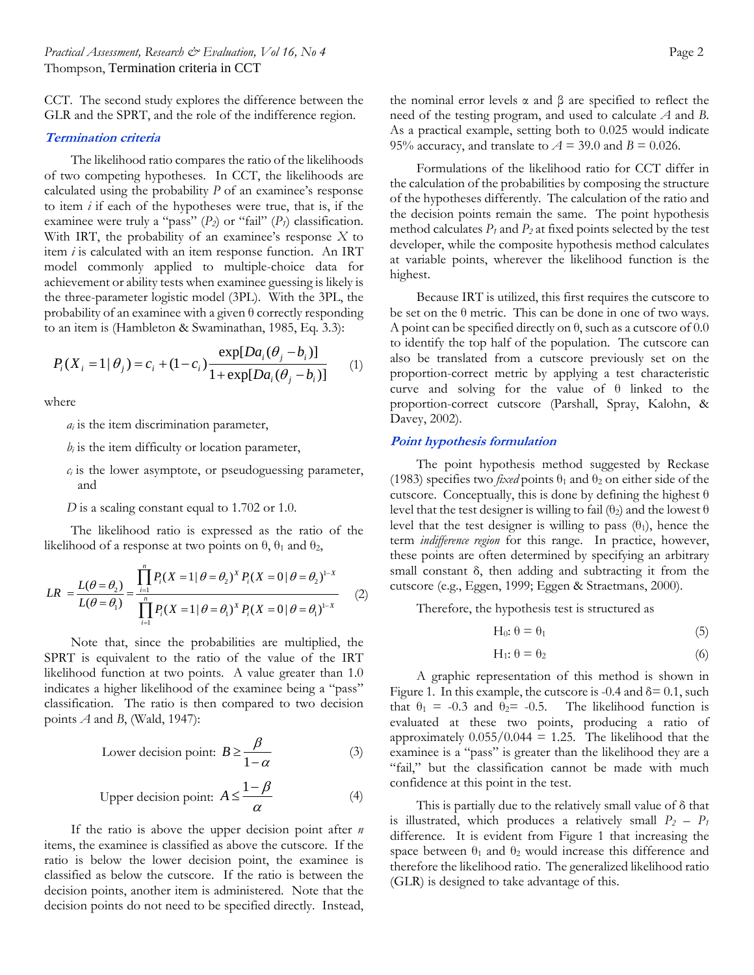CCT. The second study explores the difference between the GLR and the SPRT, and the role of the indifference region.

#### **Termination criteria**

The likelihood ratio compares the ratio of the likelihoods of two competing hypotheses. In CCT, the likelihoods are calculated using the probability *P* of an examinee's response to item *i* if each of the hypotheses were true, that is, if the examinee were truly a "pass"  $(P_2)$  or "fail"  $(P_1)$  classification. With IRT, the probability of an examinee's response *X* to item *i* is calculated with an item response function. An IRT model commonly applied to multiple-choice data for achievement or ability tests when examinee guessing is likely is the three-parameter logistic model (3PL). With the 3PL, the probability of an examinee with a given  $\theta$  correctly responding to an item is (Hambleton & Swaminathan, 1985, Eq. 3.3):

$$
P_i(X_i = 1 | \theta_j) = c_i + (1 - c_i) \frac{\exp[Da_i(\theta_j - b_i)]}{1 + \exp[Da_i(\theta_j - b_i)]}
$$
 (1)

where

*ai* is the item discrimination parameter,

- $b_i$  is the item difficulty or location parameter,
- $c_i$  is the lower asymptote, or pseudoguessing parameter, and
- *D* is a scaling constant equal to 1.702 or 1.0.

The likelihood ratio is expressed as the ratio of the likelihood of a response at two points on  $\theta$ ,  $\theta_1$  and  $\theta_2$ ,

$$
LR = \frac{L(\theta = \theta_2)}{L(\theta = \theta_1)} = \frac{\prod_{i=1}^{n} P_i (X = 1 | \theta = \theta_2)^{X} P_i (X = 0 | \theta = \theta_2)^{1-X}}{\prod_{i=1}^{n} P_i (X = 1 | \theta = \theta_1)^{X} P_i (X = 0 | \theta = \theta_1)^{1-X}}
$$
(2)

Note that, since the probabilities are multiplied, the SPRT is equivalent to the ratio of the value of the IRT likelihood function at two points. A value greater than 1.0 indicates a higher likelihood of the examinee being a "pass" classification. The ratio is then compared to two decision points *A* and *B*, (Wald, 1947):

Lower decision point: 
$$
B \ge \frac{\beta}{1-\alpha}
$$
 (3)

Upper decision point: 
$$
A \le \frac{1-\beta}{\alpha}
$$
 (4)

If the ratio is above the upper decision point after *n* items, the examinee is classified as above the cutscore. If the ratio is below the lower decision point, the examinee is classified as below the cutscore. If the ratio is between the decision points, another item is administered. Note that the decision points do not need to be specified directly. Instead,

the nominal error levels α and β are specified to reflect the need of the testing program, and used to calculate *A* and *B*. As a practical example, setting both to 0.025 would indicate 95% accuracy, and translate to  $A = 39.0$  and  $B = 0.026$ .

Formulations of the likelihood ratio for CCT differ in the calculation of the probabilities by composing the structure of the hypotheses differently. The calculation of the ratio and the decision points remain the same. The point hypothesis method calculates  $P_1$  and  $P_2$  at fixed points selected by the test developer, while the composite hypothesis method calculates at variable points, wherever the likelihood function is the highest.

Because IRT is utilized, this first requires the cutscore to be set on the  $\theta$  metric. This can be done in one of two ways. A point can be specified directly on  $\theta$ , such as a cutscore of 0.0 to identify the top half of the population. The cutscore can also be translated from a cutscore previously set on the proportion-correct metric by applying a test characteristic curve and solving for the value of θ linked to the proportion-correct cutscore (Parshall, Spray, Kalohn, & Davey, 2002).

#### **Point hypothesis formulation**

The point hypothesis method suggested by Reckase (1983) specifies two *fixed* points  $\theta_1$  and  $\theta_2$  on either side of the cutscore. Conceptually, this is done by defining the highest  $\theta$ level that the test designer is willing to fail  $(\theta_2)$  and the lowest  $\theta$ level that the test designer is willing to pass  $(\theta_1)$ , hence the term *indifference region* for this range. In practice, however, these points are often determined by specifying an arbitrary small constant δ, then adding and subtracting it from the cutscore (e.g., Eggen, 1999; Eggen & Straetmans, 2000).

Therefore, the hypothesis test is structured as

$$
H_0: \theta = \theta_1 \tag{5}
$$

$$
H_1: \theta = \theta_2 \tag{6}
$$

A graphic representation of this method is shown in Figure 1. In this example, the cutscore is -0.4 and  $\delta$  = 0.1, such that  $\theta_1 = -0.3$  and  $\theta_2 = -0.5$ . The likelihood function is evaluated at these two points, producing a ratio of approximately  $0.055/0.044 = 1.25$ . The likelihood that the examinee is a "pass" is greater than the likelihood they are a "fail," but the classification cannot be made with much confidence at this point in the test.

This is partially due to the relatively small value of δ that is illustrated, which produces a relatively small  $P_2 - P_1$ difference. It is evident from Figure 1 that increasing the space between  $\theta_1$  and  $\theta_2$  would increase this difference and therefore the likelihood ratio. The generalized likelihood ratio (GLR) is designed to take advantage of this.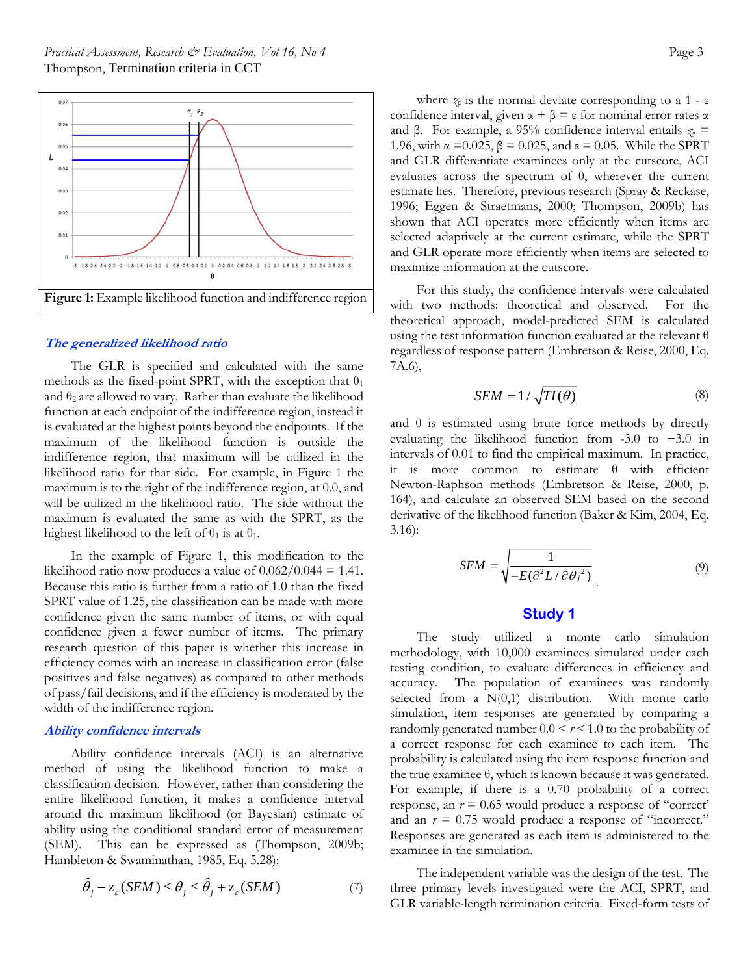

#### **The generalized likelihood ratio**

The GLR is specified and calculated with the same methods as the fixed-point SPRT, with the exception that  $\theta_1$ and  $\theta_2$  are allowed to vary. Rather than evaluate the likelihood function at each endpoint of the indifference region, instead it is evaluated at the highest points beyond the endpoints. If the maximum of the likelihood function is outside the indifference region, that maximum will be utilized in the likelihood ratio for that side. For example, in Figure 1 the maximum is to the right of the indifference region, at 0.0, and will be utilized in the likelihood ratio. The side without the maximum is evaluated the same as with the SPRT, as the highest likelihood to the left of  $\theta_1$  is at  $\theta_1$ .

In the example of Figure 1, this modification to the likelihood ratio now produces a value of  $0.062/0.044 = 1.41$ . Because this ratio is further from a ratio of 1.0 than the fixed SPRT value of 1.25, the classification can be made with more confidence given the same number of items, or with equal confidence given a fewer number of items. The primary research question of this paper is whether this increase in efficiency comes with an increase in classification error (false positives and false negatives) as compared to other methods of pass/fail decisions, and if the efficiency is moderated by the width of the indifference region.

## **Ability confidence intervals**

Ability confidence intervals (ACI) is an alternative method of using the likelihood function to make a classification decision. However, rather than considering the entire likelihood function, it makes a confidence interval around the maximum likelihood (or Bayesian) estimate of ability using the conditional standard error of measurement (SEM). This can be expressed as (Thompson, 2009b; Hambleton & Swaminathan, 1985, Eq. 5.28):

$$
\hat{\theta}_j - z_{\varepsilon} (SEM) \le \theta_j \le \hat{\theta}_j + z_{\varepsilon} (SEM)
$$
 (7)

where  $\zeta_{\epsilon}$  is the normal deviate corresponding to a 1 -  $\epsilon$ confidence interval, given  $\alpha + \beta = \epsilon$  for nominal error rates α and β. For example, a 95% confidence interval entails *z*ε = 1.96, with  $\alpha = 0.025$ ,  $\beta = 0.025$ , and  $\epsilon = 0.05$ . While the SPRT and GLR differentiate examinees only at the cutscore, ACI evaluates across the spectrum of θ, wherever the current estimate lies. Therefore, previous research (Spray & Reckase, 1996; Eggen & Straetmans, 2000; Thompson, 2009b) has shown that ACI operates more efficiently when items are selected adaptively at the current estimate, while the SPRT and GLR operate more efficiently when items are selected to maximize information at the cutscore.

For this study, the confidence intervals were calculated with two methods: theoretical and observed. For the theoretical approach, model-predicted SEM is calculated using the test information function evaluated at the relevant  $\theta$ regardless of response pattern (Embretson & Reise, 2000, Eq. 7A.6),

$$
SEM = 1/\sqrt{TI(\theta)}\tag{8}
$$

and  $\theta$  is estimated using brute force methods by directly evaluating the likelihood function from -3.0 to +3.0 in intervals of 0.01 to find the empirical maximum. In practice, it is more common to estimate θ with efficient Newton-Raphson methods (Embretson & Reise, 2000, p. 164), and calculate an observed SEM based on the second derivative of the likelihood function (Baker & Kim, 2004, Eq. 3.16):

$$
SEM = \sqrt{\frac{1}{-E(\partial^2 L/\partial \theta_j^2)}}\tag{9}
$$

# **Study 1**

The study utilized a monte carlo simulation methodology, with 10,000 examinees simulated under each testing condition, to evaluate differences in efficiency and accuracy. The population of examinees was randomly selected from a  $N(0,1)$  distribution. With monte carlo simulation, item responses are generated by comparing a randomly generated number  $0.0 \le r \le 1.0$  to the probability of a correct response for each examinee to each item. The probability is calculated using the item response function and the true examinee  $θ$ , which is known because it was generated. For example, if there is a 0.70 probability of a correct response, an *r* = 0.65 would produce a response of "correct' and an  $r = 0.75$  would produce a response of "incorrect." Responses are generated as each item is administered to the examinee in the simulation.

The independent variable was the design of the test. The three primary levels investigated were the ACI, SPRT, and GLR variable-length termination criteria. Fixed-form tests of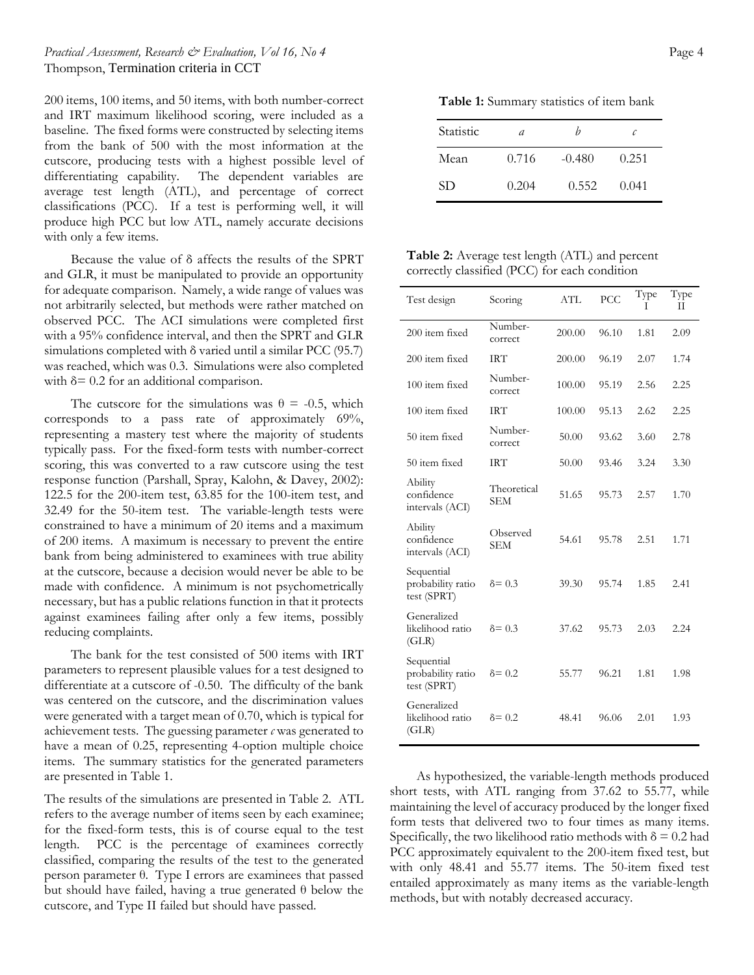### *Practical Assessment, Research & Evaluation, Vol 16, No 4* Page 4 Thompson, Termination criteria in CCT

200 items, 100 items, and 50 items, with both number-correct and IRT maximum likelihood scoring, were included as a baseline. The fixed forms were constructed by selecting items from the bank of 500 with the most information at the cutscore, producing tests with a highest possible level of differentiating capability. The dependent variables are average test length (ATL), and percentage of correct classifications (PCC). If a test is performing well, it will produce high PCC but low ATL, namely accurate decisions with only a few items.

Because the value of δ affects the results of the SPRT and GLR, it must be manipulated to provide an opportunity for adequate comparison. Namely, a wide range of values was not arbitrarily selected, but methods were rather matched on observed PCC. The ACI simulations were completed first with a 95% confidence interval, and then the SPRT and GLR simulations completed with δ varied until a similar PCC (95.7) was reached, which was 0.3. Simulations were also completed with  $\delta$  = 0.2 for an additional comparison.

The cutscore for the simulations was  $\theta = -0.5$ , which corresponds to a pass rate of approximately 69%, representing a mastery test where the majority of students typically pass. For the fixed-form tests with number-correct scoring, this was converted to a raw cutscore using the test response function (Parshall, Spray, Kalohn, & Davey, 2002): 122.5 for the 200-item test, 63.85 for the 100-item test, and 32.49 for the 50-item test. The variable-length tests were constrained to have a minimum of 20 items and a maximum of 200 items. A maximum is necessary to prevent the entire bank from being administered to examinees with true ability at the cutscore, because a decision would never be able to be made with confidence. A minimum is not psychometrically necessary, but has a public relations function in that it protects against examinees failing after only a few items, possibly reducing complaints.

The bank for the test consisted of 500 items with IRT parameters to represent plausible values for a test designed to differentiate at a cutscore of -0.50. The difficulty of the bank was centered on the cutscore, and the discrimination values were generated with a target mean of 0.70, which is typical for achievement tests. The guessing parameter  $c$  was generated to have a mean of 0.25, representing 4-option multiple choice items. The summary statistics for the generated parameters are presented in Table 1.

The results of the simulations are presented in Table 2. ATL refers to the average number of items seen by each examinee; for the fixed-form tests, this is of course equal to the test length. PCC is the percentage of examinees correctly classified, comparing the results of the test to the generated person parameter θ. Type I errors are examinees that passed but should have failed, having a true generated θ below the cutscore, and Type II failed but should have passed.

**Table 1:** Summary statistics of item bank

| Statistic | a     | n        | C     |
|-----------|-------|----------|-------|
| Mean      | 0.716 | $-0.480$ | 0.251 |
| <b>SD</b> | 0.204 | 0.552    | 0.041 |

**Table 2:** Average test length (ATL) and percent correctly classified (PCC) for each condition

| Test design                                    | Scoring                   | ATL    | PCC   | Type<br>Τ | Type<br>П |
|------------------------------------------------|---------------------------|--------|-------|-----------|-----------|
| 200 item fixed                                 | Number-<br>correct        | 200.00 | 96.10 | 1.81      | 2.09      |
| 200 item fixed                                 | <b>IRT</b>                | 200.00 | 96.19 | 2.07      | 1.74      |
| 100 item fixed                                 | Number-<br>correct        | 100.00 | 95.19 | 2.56      | 2.25      |
| 100 item fixed                                 | <b>IRT</b>                | 100.00 | 95.13 | 2.62      | 2.25      |
| 50 item fixed                                  | Number-<br>correct        | 50.00  | 93.62 | 3.60      | 2.78      |
| 50 item fixed                                  | <b>IRT</b>                | 50.00  | 93.46 | 3.24      | 3.30      |
| Ability<br>confidence<br>intervals (ACI)       | Theoretical<br><b>SEM</b> | 51.65  | 95.73 | 2.57      | 1.70      |
| Ability<br>confidence<br>intervals (ACI)       | Observed<br><b>SEM</b>    | 54.61  | 95.78 | 2.51      | 1.71      |
| Sequential<br>probability ratio<br>test (SPRT) | $\delta = 0.3$            | 39.30  | 95.74 | 1.85      | 2.41      |
| Generalized<br>likelihood ratio<br>(GLR)       | $\delta = 0.3$            | 37.62  | 95.73 | 2.03      | 2.24      |
| Sequential<br>probability ratio<br>test (SPRT) | $\delta = 0.2$            | 55.77  | 96.21 | 1.81      | 1.98      |
| Generalized<br>likelihood ratio<br>(GLR)       | $\delta = 0.2$            | 48.41  | 96.06 | 2.01      | 1.93      |

As hypothesized, the variable-length methods produced short tests, with ATL ranging from 37.62 to 55.77, while maintaining the level of accuracy produced by the longer fixed form tests that delivered two to four times as many items. Specifically, the two likelihood ratio methods with  $\delta = 0.2$  had PCC approximately equivalent to the 200-item fixed test, but with only 48.41 and 55.77 items. The 50-item fixed test entailed approximately as many items as the variable-length methods, but with notably decreased accuracy.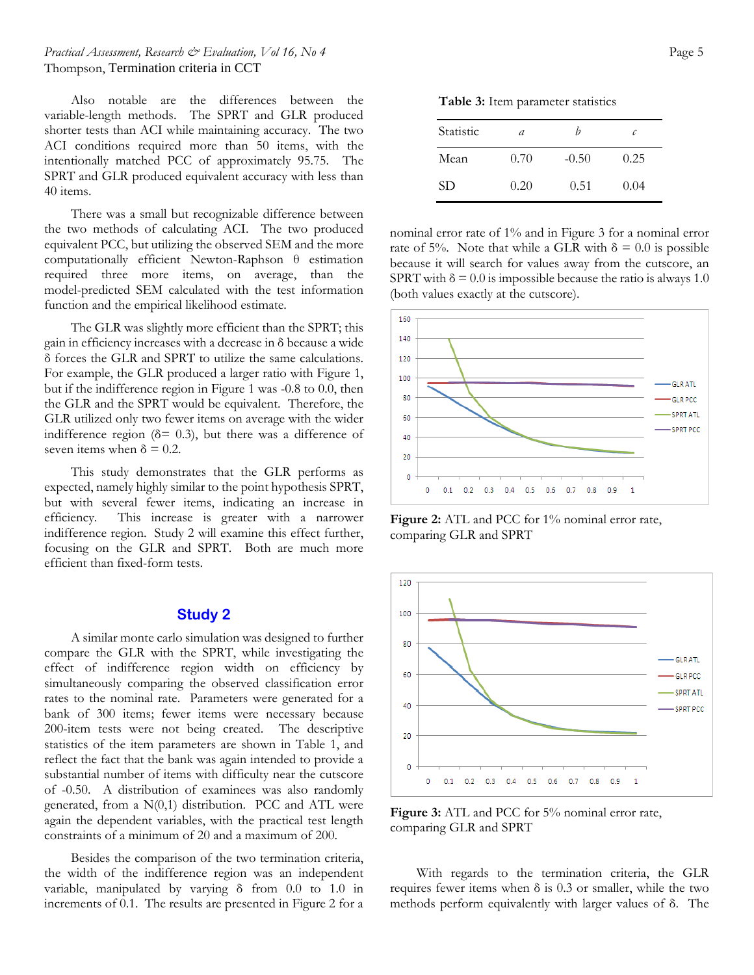### *Practical Assessment, Research & Evaluation, Vol 16, No 4* Page 5 Thompson, Termination criteria in CCT

Also notable are the differences between the variable-length methods. The SPRT and GLR produced shorter tests than ACI while maintaining accuracy. The two ACI conditions required more than 50 items, with the intentionally matched PCC of approximately 95.75. The SPRT and GLR produced equivalent accuracy with less than 40 items.

There was a small but recognizable difference between the two methods of calculating ACI. The two produced equivalent PCC, but utilizing the observed SEM and the more computationally efficient Newton-Raphson θ estimation required three more items, on average, than the model-predicted SEM calculated with the test information function and the empirical likelihood estimate.

The GLR was slightly more efficient than the SPRT; this gain in efficiency increases with a decrease in δ because a wide δ forces the GLR and SPRT to utilize the same calculations. For example, the GLR produced a larger ratio with Figure 1, but if the indifference region in Figure 1 was -0.8 to 0.0, then the GLR and the SPRT would be equivalent. Therefore, the GLR utilized only two fewer items on average with the wider indifference region ( $\delta$ = 0.3), but there was a difference of seven items when  $\delta = 0.2$ .

This study demonstrates that the GLR performs as expected, namely highly similar to the point hypothesis SPRT, but with several fewer items, indicating an increase in efficiency. This increase is greater with a narrower indifference region. Study 2 will examine this effect further, focusing on the GLR and SPRT. Both are much more efficient than fixed-form tests.

# **Study 2**

A similar monte carlo simulation was designed to further compare the GLR with the SPRT, while investigating the effect of indifference region width on efficiency by simultaneously comparing the observed classification error rates to the nominal rate. Parameters were generated for a bank of 300 items; fewer items were necessary because 200-item tests were not being created. The descriptive statistics of the item parameters are shown in Table 1, and reflect the fact that the bank was again intended to provide a substantial number of items with difficulty near the cutscore of -0.50. A distribution of examinees was also randomly generated, from a  $N(0,1)$  distribution. PCC and ATL were again the dependent variables, with the practical test length constraints of a minimum of 20 and a maximum of 200.

Besides the comparison of the two termination criteria, the width of the indifference region was an independent variable, manipulated by varying δ from 0.0 to 1.0 in increments of 0.1. The results are presented in Figure 2 for a

**Table 3:** Item parameter statistics

| Statistic | a    | n       | c    |
|-----------|------|---------|------|
| Mean      | 0.70 | $-0.50$ | 0.25 |
| <b>SD</b> | 0.20 | 0.51    | 0.04 |

nominal error rate of 1% and in Figure 3 for a nominal error rate of 5%. Note that while a GLR with  $\delta = 0.0$  is possible because it will search for values away from the cutscore, an SPRT with  $\delta = 0.0$  is impossible because the ratio is always 1.0 (both values exactly at the cutscore).



Figure 2: ATL and PCC for 1% nominal error rate, comparing GLR and SPRT



Figure 3: ATL and PCC for 5% nominal error rate, comparing GLR and SPRT

With regards to the termination criteria, the GLR requires fewer items when  $\delta$  is 0.3 or smaller, while the two methods perform equivalently with larger values of δ. The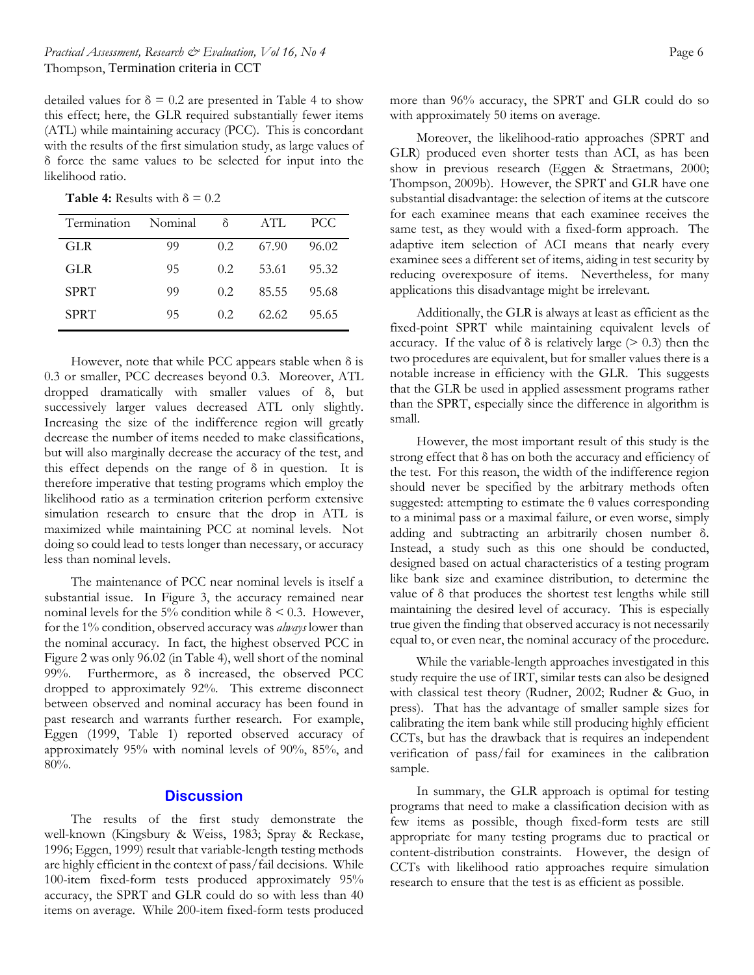detailed values for  $\delta = 0.2$  are presented in Table 4 to show this effect; here, the GLR required substantially fewer items (ATL) while maintaining accuracy (PCC). This is concordant with the results of the first simulation study, as large values of δ force the same values to be selected for input into the likelihood ratio.

**Table 4:** Results with  $\delta = 0.2$ 

| Termination | Nominal | δ                | $ATT$ . | PCC.  |
|-------------|---------|------------------|---------|-------|
| GLR         | 99      | 02               | 67.90   | 96.02 |
| GLR.        | 95      | 0.2 <sub>1</sub> | 53.61   | 95.32 |
| <b>SPRT</b> | 99      | 0.2 <sub>1</sub> | 85.55   | 95.68 |
| <b>SPRT</b> | 95      | 02               | 62.62   | 95.65 |

However, note that while PCC appears stable when  $\delta$  is 0.3 or smaller, PCC decreases beyond 0.3. Moreover, ATL dropped dramatically with smaller values of δ, but successively larger values decreased ATL only slightly. Increasing the size of the indifference region will greatly decrease the number of items needed to make classifications, but will also marginally decrease the accuracy of the test, and this effect depends on the range of  $\delta$  in question. It is therefore imperative that testing programs which employ the likelihood ratio as a termination criterion perform extensive simulation research to ensure that the drop in ATL is maximized while maintaining PCC at nominal levels. Not doing so could lead to tests longer than necessary, or accuracy less than nominal levels.

The maintenance of PCC near nominal levels is itself a substantial issue. In Figure 3, the accuracy remained near nominal levels for the 5% condition while  $\delta$  < 0.3. However, for the 1% condition, observed accuracy was *always* lower than the nominal accuracy. In fact, the highest observed PCC in Figure 2 was only 96.02 (in Table 4), well short of the nominal 99%. Furthermore, as δ increased, the observed PCC dropped to approximately 92%. This extreme disconnect between observed and nominal accuracy has been found in past research and warrants further research. For example, Eggen (1999, Table 1) reported observed accuracy of approximately 95% with nominal levels of 90%, 85%, and 80%.

## **Discussion**

The results of the first study demonstrate the well-known (Kingsbury & Weiss, 1983; Spray & Reckase, 1996; Eggen, 1999) result that variable-length testing methods are highly efficient in the context of pass/fail decisions. While 100-item fixed-form tests produced approximately 95% accuracy, the SPRT and GLR could do so with less than 40 items on average. While 200-item fixed-form tests produced

more than 96% accuracy, the SPRT and GLR could do so with approximately 50 items on average.

Moreover, the likelihood-ratio approaches (SPRT and GLR) produced even shorter tests than ACI, as has been show in previous research (Eggen & Straetmans, 2000; Thompson, 2009b). However, the SPRT and GLR have one substantial disadvantage: the selection of items at the cutscore for each examinee means that each examinee receives the same test, as they would with a fixed-form approach. The adaptive item selection of ACI means that nearly every examinee sees a different set of items, aiding in test security by reducing overexposure of items. Nevertheless, for many applications this disadvantage might be irrelevant.

Additionally, the GLR is always at least as efficient as the fixed-point SPRT while maintaining equivalent levels of accuracy. If the value of  $\delta$  is relatively large ( $> 0.3$ ) then the two procedures are equivalent, but for smaller values there is a notable increase in efficiency with the GLR. This suggests that the GLR be used in applied assessment programs rather than the SPRT, especially since the difference in algorithm is small.

However, the most important result of this study is the strong effect that δ has on both the accuracy and efficiency of the test. For this reason, the width of the indifference region should never be specified by the arbitrary methods often suggested: attempting to estimate the  $\theta$  values corresponding to a minimal pass or a maximal failure, or even worse, simply adding and subtracting an arbitrarily chosen number δ. Instead, a study such as this one should be conducted, designed based on actual characteristics of a testing program like bank size and examinee distribution, to determine the value of δ that produces the shortest test lengths while still maintaining the desired level of accuracy. This is especially true given the finding that observed accuracy is not necessarily equal to, or even near, the nominal accuracy of the procedure.

While the variable-length approaches investigated in this study require the use of IRT, similar tests can also be designed with classical test theory (Rudner, 2002; Rudner & Guo, in press). That has the advantage of smaller sample sizes for calibrating the item bank while still producing highly efficient CCTs, but has the drawback that is requires an independent verification of pass/fail for examinees in the calibration sample.

In summary, the GLR approach is optimal for testing programs that need to make a classification decision with as few items as possible, though fixed-form tests are still appropriate for many testing programs due to practical or content-distribution constraints. However, the design of CCTs with likelihood ratio approaches require simulation research to ensure that the test is as efficient as possible.